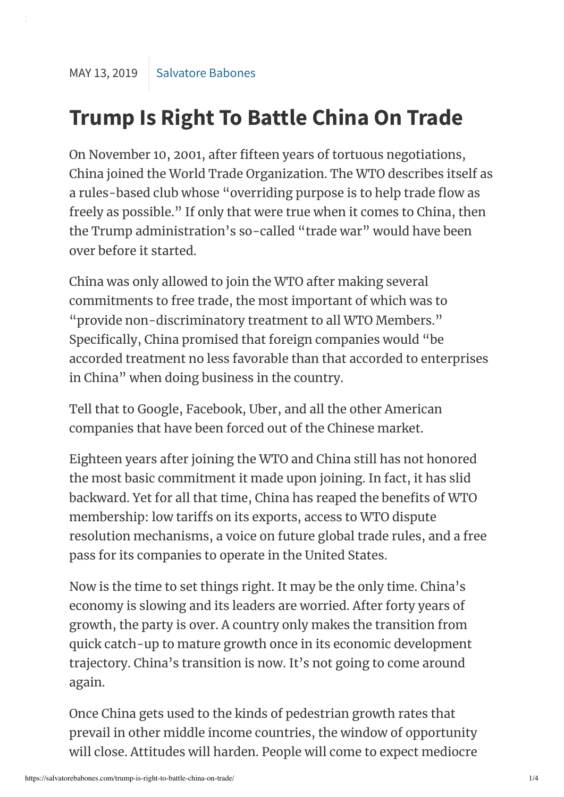## **Trump Is Right To Battle China On Trade**

On November 10, 2001, after fifteen years of tortuous negotiations, China joined the World Trade Organization. The WTO describes itself as a rules-based club whose "overriding purpose is to help trade flow as freely as possible." If only that were true when it comes to China, then the Trump administration's so-called "trade war" would have been over before it started.

China was only allowed to join the WTO after making several commitments to free trade, the most important of which was to "provide non-discriminatory treatment to all WTO Members." Specifically, China promised that foreign companies would "be accorded treatment no less favorable than that accorded to enterprises in China" when doing business in the country.

Tell that to Google, Facebook, Uber, and all the other American companies that have been forced out of the Chinese market.

Eighteen years after joining the WTO and China still has not honored the most basic commitment it made upon joining. In fact, it has slid backward. Yet for all that time, China has reaped the benefits of WTO membership: low tariffs on its exports, access to WTO dispute resolution mechanisms, a voice on future global trade rules, and a free pass for its companies to operate in the United States.

Now is the time to set things right. It may be the only time. China's economy is slowing and its leaders are worried. After forty years of growth, the party is over. A country only makes the transition from quick catch-up to mature growth once in its economic development trajectory. China's transition is now. It's not going to come around again.

Once China gets used to the kinds of pedestrian growth rates that prevail in other middle income countries, the window of opportunity will close. Attitudes will harden. People will come to expect mediocre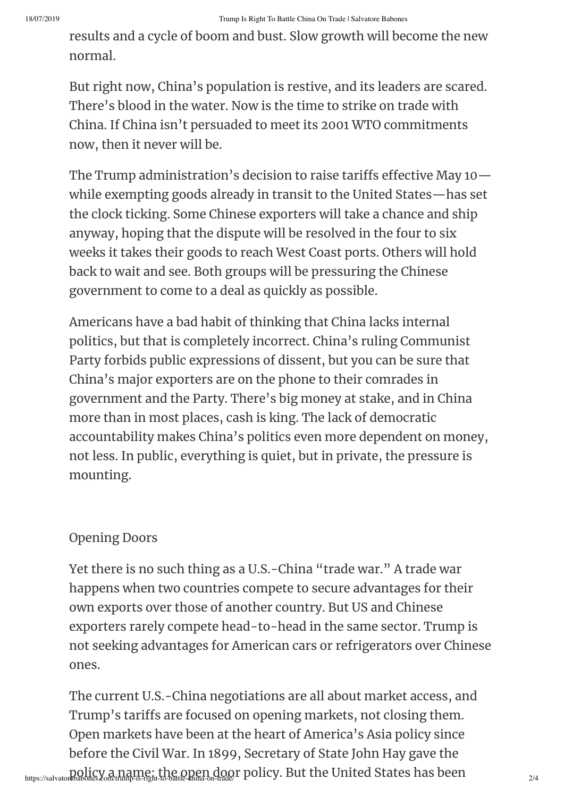results and a cycle of boom and bust. Slow growth will become the new normal.

But right now, China's population is restive, and its leaders are scared. There's blood in the water. Now is the time to strike on trade with China. If China isn't persuaded to meet its 2001 WTO commitments now, then it never will be.

The Trump administration's decision to raise tariffs effective May  $10$  – while exempting goods already in transit to the United States—has set the clock ticking. Some Chinese exporters will take a chance and ship anyway, hoping that the dispute will be resolved in the four to six weeks it takes their goods to reach West Coast ports. Others will hold back to wait and see. Both groups will be pressuring the Chinese government to come to a deal as quickly as possible.

Americans have a bad habit of thinking that China lacks internal politics, but that is completely incorrect. China's ruling Communist Party forbids public expressions of dissent, but you can be sure that China's major exporters are on the phone to their comrades in government and the Party. There's big money at stake, and in China more than in most places, cash is king. The lack of democratic accountability makes China's politics even more dependent on money, not less. In public, everything is quiet, but in private, the pressure is mounting.

## **Opening Doors**

Yet there is no such thing as a U.S.-China "trade war." A trade war happens when two countries compete to secure advantages for their own exports over those of another country. But US and Chinese exporters rarely compete head-to-head in the same sector. Trump is not seeking advantages for American cars or refrigerators over Chinese ones.

https://salvatorebabones.com/trump-is-right-to-battle-china-on-trade/ r policy. But the United States has been<br>https://salvatorebabones.com/trump-is-right-to-battle-china-on-trade/ r The current U.S.-China negotiations are all about market access, and Trump's tariffs are focused on opening markets, not closing them. Open markets have been at the heart of America's Asia policy since before the Civil War. In 1899, Secretary of State John Hay gave the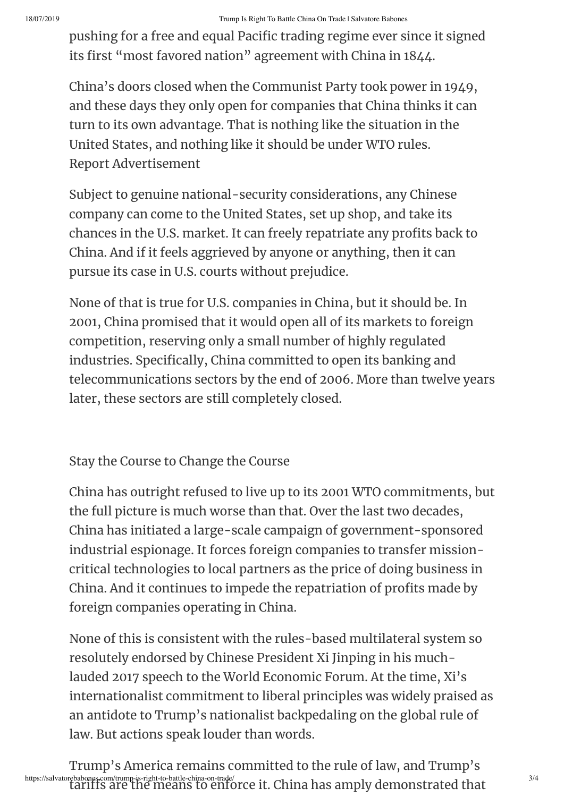pushing for a free and equal Pacific trading regime ever since it signed its first "most favored nation" agreement with China in 1844.

China's doors closed when the Communist Party took power in 1949, and these days they only open for companies that China thinks it can turn to its own advantage. That is nothing like the situation in the United States, and nothing like it should be under WTO rules. Report Advertisement

Subject to genuine national-security considerations, any Chinese company can come to the United States, set up shop, and take its chances in the U.S. market. It can freely repatriate any profits back to China. And if it feels aggrieved by anyone or anything, then it can pursue its case in U.S. courts without prejudice.

None of that is true for U.S. companies in China, but it should be. In 2001, China promised that it would open all of its markets to foreign competition, reserving only a small number of highly regulated industries. Specifically, China committed to open its banking and telecommunications sectors by the end of 2006. More than twelve years later, these sectors are still completely closed.

Stay the Course to Change the Course

China has outright refused to live up to its 2001 WTO commitments, but the full picture is much worse than that. Over the last two decades, China has initiated a large-scale campaign of government-sponsored industrial espionage. It forces foreign companies to transfer missioncritical technologies to local partners as the price of doing business in China. And it continues to impede the repatriation of profits made by foreign companies operating in China.

None of this is consistent with the rules-based multilateral system so resolutely endorsed by Chinese President Xi Jinping in his muchlauded 2017 speech to the World Economic Forum. At the time, Xi's internationalist commitment to liberal principles was widely praised as an antidote to Trump's nationalist backpedaling on the global rule of law. But actions speak louder than words.

https://salvatorebabones.com/trump-is-right-to-battle-china-on-trade/<br>tariffs are the means to enforce it. China has amply demonstrated that Trump's America remains committed to the rule of law, and Trump's